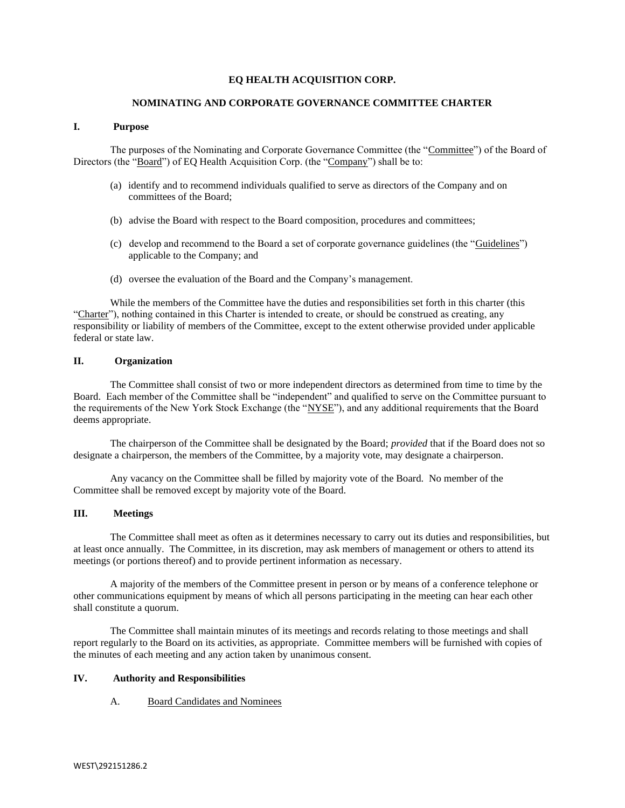#### **EQ HEALTH ACQUISITION CORP.**

#### **NOMINATING AND CORPORATE GOVERNANCE COMMITTEE CHARTER**

#### **I. Purpose**

The purposes of the Nominating and Corporate Governance Committee (the "Committee") of the Board of Directors (the "Board") of EQ Health Acquisition Corp. (the "Company") shall be to:

- (a) identify and to recommend individuals qualified to serve as directors of the Company and on committees of the Board;
- (b) advise the Board with respect to the Board composition, procedures and committees;
- (c) develop and recommend to the Board a set of corporate governance guidelines (the "Guidelines") applicable to the Company; and
- (d) oversee the evaluation of the Board and the Company's management.

While the members of the Committee have the duties and responsibilities set forth in this charter (this "Charter"), nothing contained in this Charter is intended to create, or should be construed as creating, any responsibility or liability of members of the Committee, except to the extent otherwise provided under applicable federal or state law.

#### **II. Organization**

The Committee shall consist of two or more independent directors as determined from time to time by the Board. Each member of the Committee shall be "independent" and qualified to serve on the Committee pursuant to the requirements of the New York Stock Exchange (the "NYSE"), and any additional requirements that the Board deems appropriate.

The chairperson of the Committee shall be designated by the Board; *provided* that if the Board does not so designate a chairperson, the members of the Committee, by a majority vote, may designate a chairperson.

Any vacancy on the Committee shall be filled by majority vote of the Board. No member of the Committee shall be removed except by majority vote of the Board.

#### **III. Meetings**

The Committee shall meet as often as it determines necessary to carry out its duties and responsibilities, but at least once annually. The Committee, in its discretion, may ask members of management or others to attend its meetings (or portions thereof) and to provide pertinent information as necessary.

A majority of the members of the Committee present in person or by means of a conference telephone or other communications equipment by means of which all persons participating in the meeting can hear each other shall constitute a quorum.

The Committee shall maintain minutes of its meetings and records relating to those meetings and shall report regularly to the Board on its activities, as appropriate. Committee members will be furnished with copies of the minutes of each meeting and any action taken by unanimous consent.

#### **IV. Authority and Responsibilities**

## A. Board Candidates and Nominees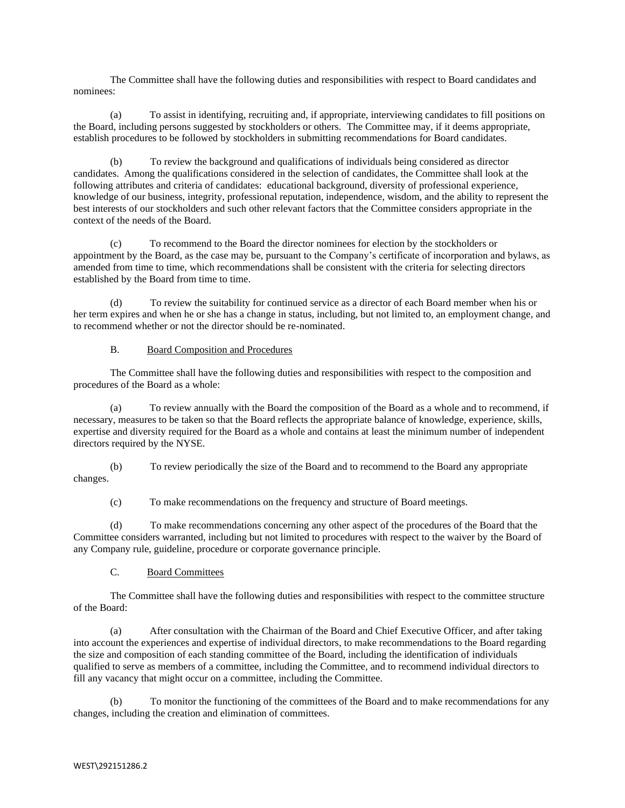The Committee shall have the following duties and responsibilities with respect to Board candidates and nominees:

(a) To assist in identifying, recruiting and, if appropriate, interviewing candidates to fill positions on the Board, including persons suggested by stockholders or others. The Committee may, if it deems appropriate, establish procedures to be followed by stockholders in submitting recommendations for Board candidates.

(b) To review the background and qualifications of individuals being considered as director candidates. Among the qualifications considered in the selection of candidates, the Committee shall look at the following attributes and criteria of candidates: educational background, diversity of professional experience, knowledge of our business, integrity, professional reputation, independence, wisdom, and the ability to represent the best interests of our stockholders and such other relevant factors that the Committee considers appropriate in the context of the needs of the Board.

(c) To recommend to the Board the director nominees for election by the stockholders or appointment by the Board, as the case may be, pursuant to the Company's certificate of incorporation and bylaws, as amended from time to time, which recommendations shall be consistent with the criteria for selecting directors established by the Board from time to time.

(d) To review the suitability for continued service as a director of each Board member when his or her term expires and when he or she has a change in status, including, but not limited to, an employment change, and to recommend whether or not the director should be re-nominated.

## B. Board Composition and Procedures

The Committee shall have the following duties and responsibilities with respect to the composition and procedures of the Board as a whole:

(a) To review annually with the Board the composition of the Board as a whole and to recommend, if necessary, measures to be taken so that the Board reflects the appropriate balance of knowledge, experience, skills, expertise and diversity required for the Board as a whole and contains at least the minimum number of independent directors required by the NYSE.

(b) To review periodically the size of the Board and to recommend to the Board any appropriate changes.

(c) To make recommendations on the frequency and structure of Board meetings.

(d) To make recommendations concerning any other aspect of the procedures of the Board that the Committee considers warranted, including but not limited to procedures with respect to the waiver by the Board of any Company rule, guideline, procedure or corporate governance principle.

## C. Board Committees

The Committee shall have the following duties and responsibilities with respect to the committee structure of the Board:

(a) After consultation with the Chairman of the Board and Chief Executive Officer, and after taking into account the experiences and expertise of individual directors, to make recommendations to the Board regarding the size and composition of each standing committee of the Board, including the identification of individuals qualified to serve as members of a committee, including the Committee, and to recommend individual directors to fill any vacancy that might occur on a committee, including the Committee.

(b) To monitor the functioning of the committees of the Board and to make recommendations for any changes, including the creation and elimination of committees.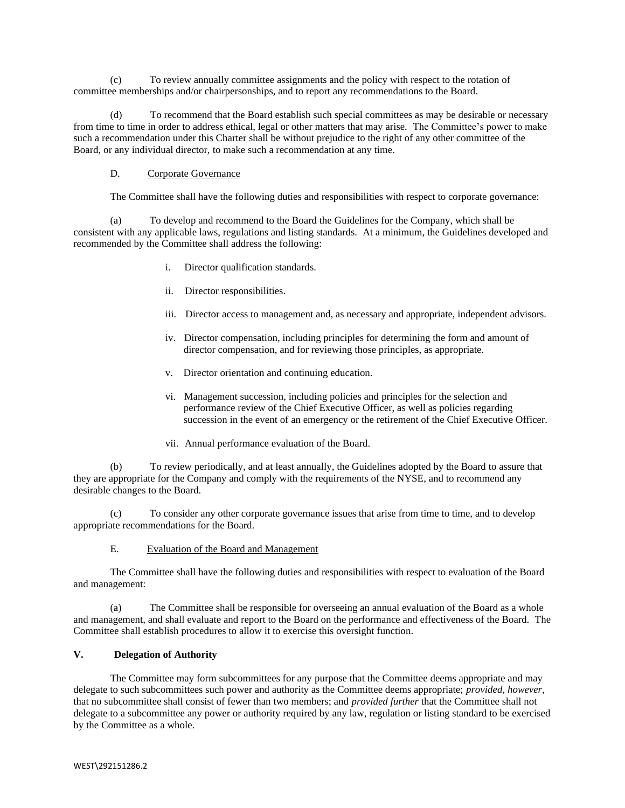(c) To review annually committee assignments and the policy with respect to the rotation of committee memberships and/or chairpersonships, and to report any recommendations to the Board.

(d) To recommend that the Board establish such special committees as may be desirable or necessary from time to time in order to address ethical, legal or other matters that may arise. The Committee's power to make such a recommendation under this Charter shall be without prejudice to the right of any other committee of the Board, or any individual director, to make such a recommendation at any time.

## D. Corporate Governance

The Committee shall have the following duties and responsibilities with respect to corporate governance:

(a) To develop and recommend to the Board the Guidelines for the Company, which shall be consistent with any applicable laws, regulations and listing standards. At a minimum, the Guidelines developed and recommended by the Committee shall address the following:

- i. Director qualification standards.
- ii. Director responsibilities.
- iii. Director access to management and, as necessary and appropriate, independent advisors.
- iv. Director compensation, including principles for determining the form and amount of director compensation, and for reviewing those principles, as appropriate.
- v. Director orientation and continuing education.
- vi. Management succession, including policies and principles for the selection and performance review of the Chief Executive Officer, as well as policies regarding succession in the event of an emergency or the retirement of the Chief Executive Officer.
- vii. Annual performance evaluation of the Board.

(b) To review periodically, and at least annually, the Guidelines adopted by the Board to assure that they are appropriate for the Company and comply with the requirements of the NYSE, and to recommend any desirable changes to the Board.

To consider any other corporate governance issues that arise from time to time, and to develop appropriate recommendations for the Board.

## E. Evaluation of the Board and Management

The Committee shall have the following duties and responsibilities with respect to evaluation of the Board and management:

(a) The Committee shall be responsible for overseeing an annual evaluation of the Board as a whole and management, and shall evaluate and report to the Board on the performance and effectiveness of the Board. The Committee shall establish procedures to allow it to exercise this oversight function.

# **V. Delegation of Authority**

The Committee may form subcommittees for any purpose that the Committee deems appropriate and may delegate to such subcommittees such power and authority as the Committee deems appropriate; *provided*, *however*, that no subcommittee shall consist of fewer than two members; and *provided further* that the Committee shall not delegate to a subcommittee any power or authority required by any law, regulation or listing standard to be exercised by the Committee as a whole.